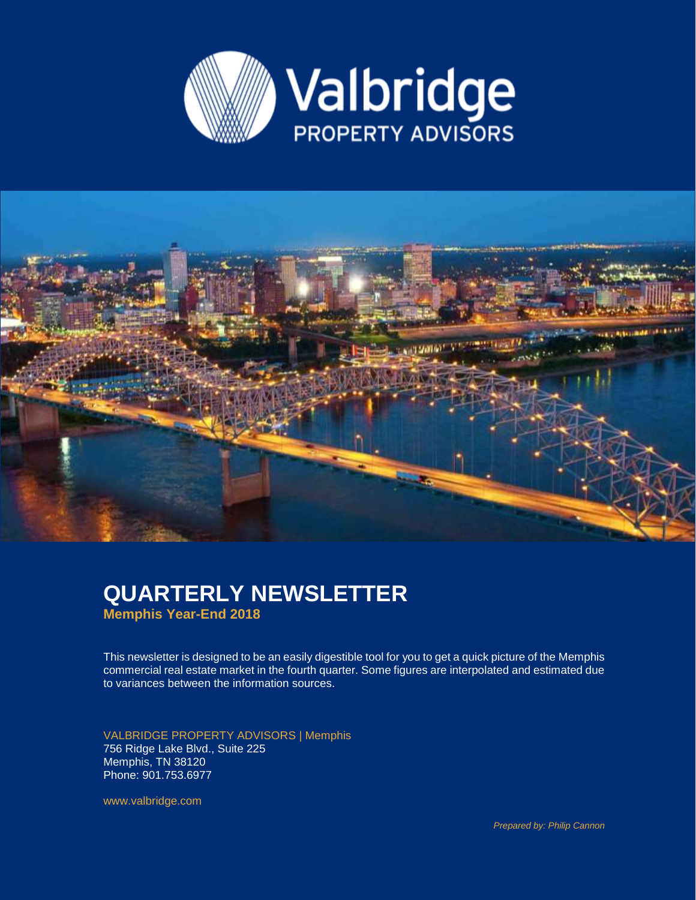



### **QUARTERLY NEWSLETTER Memphis Year-End 2018**

This newsletter is designed to be an easily digestible tool for you to get a quick picture of the Memphis commercial real estate market in the fourth quarter. Some figures are interpolated and estimated due to variances between the information sources.

VALBRIDGE PROPERTY ADVISORS | Memphis 756 Ridge Lake Blvd., Suite 225 Memphis, TN 38120 Phone: 901.753.6977

www.valbridge.com

*Prepared by: Philip Cannon*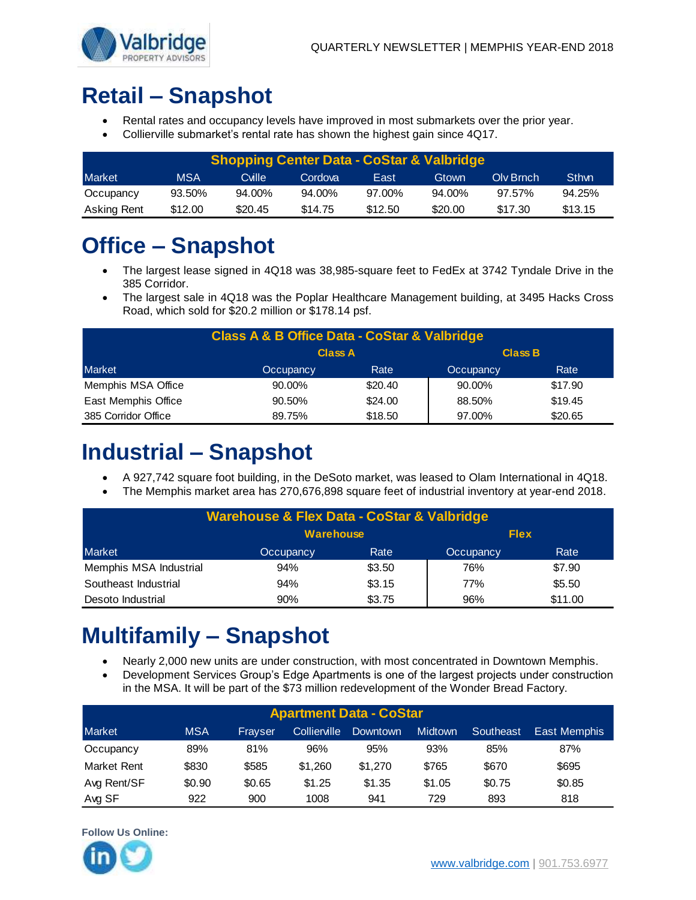

# **Retail – Snapshot**

- Rental rates and occupancy levels have improved in most submarkets over the prior year.
- Collierville submarket's rental rate has shown the highest gain since 4Q17.

| <b>Shopping Center Data - CoStar &amp; Valbridge</b> |            |                 |         |         |         |           |              |  |  |
|------------------------------------------------------|------------|-----------------|---------|---------|---------|-----------|--------------|--|--|
| <b>Market</b>                                        | <b>MSA</b> | Cville <b>'</b> | Cordova | East    | Gtown   | Oly Brnch | <b>Sthwn</b> |  |  |
| Occupancy                                            | 93.50%     | 94.00%          | 94.00%  | 97.00%  | 94.00%  | 97.57%    | 94.25%       |  |  |
| Asking Rent                                          | \$12.00    | \$20.45         | \$14.75 | \$12.50 | \$20.00 | \$17.30   | \$13.15      |  |  |

# **Office – Snapshot**

- The largest lease signed in 4Q18 was 38,985-square feet to FedEx at 3742 Tyndale Drive in the 385 Corridor.
- The largest sale in 4Q18 was the Poplar Healthcare Management building, at 3495 Hacks Cross Road, which sold for \$20.2 million or \$178.14 psf.

| <b>Class A &amp; B Office Data - CoStar &amp; Valbridge</b> |           |                                  |           |         |  |  |  |  |
|-------------------------------------------------------------|-----------|----------------------------------|-----------|---------|--|--|--|--|
|                                                             |           | <b>Class B</b><br><b>Class A</b> |           |         |  |  |  |  |
| <b>Market</b>                                               | Occupancy | Rate                             | Occupancy | Rate    |  |  |  |  |
| Memphis MSA Office                                          | $90.00\%$ | \$20.40                          | 90.00%    | \$17.90 |  |  |  |  |
| East Memphis Office                                         | 90.50%    | \$24.00                          | 88.50%    | \$19.45 |  |  |  |  |
| 385 Corridor Office                                         | 89.75%    | \$18.50                          | 97.00%    | \$20.65 |  |  |  |  |

## **Industrial – Snapshot**

- A 927,742 square foot building, in the DeSoto market, was leased to Olam International in 4Q18.
- The Memphis market area has 270,676,898 square feet of industrial inventory at year-end 2018.

| <b>Warehouse &amp; Flex Data - CoStar &amp; Valbridge</b> |                  |        |             |         |  |  |  |  |
|-----------------------------------------------------------|------------------|--------|-------------|---------|--|--|--|--|
|                                                           | <b>Warehouse</b> |        | <b>Flex</b> |         |  |  |  |  |
| Market                                                    | Occupancy        | Rate   | Occupancy   | Rate    |  |  |  |  |
| Memphis MSA Industrial                                    | 94%              | \$3.50 | 76%         | \$7.90  |  |  |  |  |
| Southeast Industrial                                      | 94%              | \$3.15 | 77%         | \$5.50  |  |  |  |  |
| Desoto Industrial                                         | 90%              | \$3.75 | 96%         | \$11.00 |  |  |  |  |

# **Multifamily – Snapshot**

- Nearly 2,000 new units are under construction, with most concentrated in Downtown Memphis.
- Development Services Group's Edge Apartments is one of the largest projects under construction in the MSA. It will be part of the \$73 million redevelopment of the Wonder Bread Factory.

| <b>Apartment Data - CoStar</b> |            |         |              |          |                |           |              |  |
|--------------------------------|------------|---------|--------------|----------|----------------|-----------|--------------|--|
| <b>Market</b>                  | <b>MSA</b> | Frayser | Collierville | Downtown | <b>Midtown</b> | Southeast | East Memphis |  |
| Occupancy                      | 89%        | 81%     | 96%          | 95%      | 93%            | 85%       | 87%          |  |
| Market Rent                    | \$830      | \$585   | \$1.260      | \$1,270  | \$765          | \$670     | \$695        |  |
| Avg Rent/SF                    | \$0.90     | \$0.65  | \$1.25       | \$1.35   | \$1.05         | \$0.75    | \$0.85       |  |
| Avg SF                         | 922        | 900     | 1008         | 941      | 729            | 893       | 818          |  |



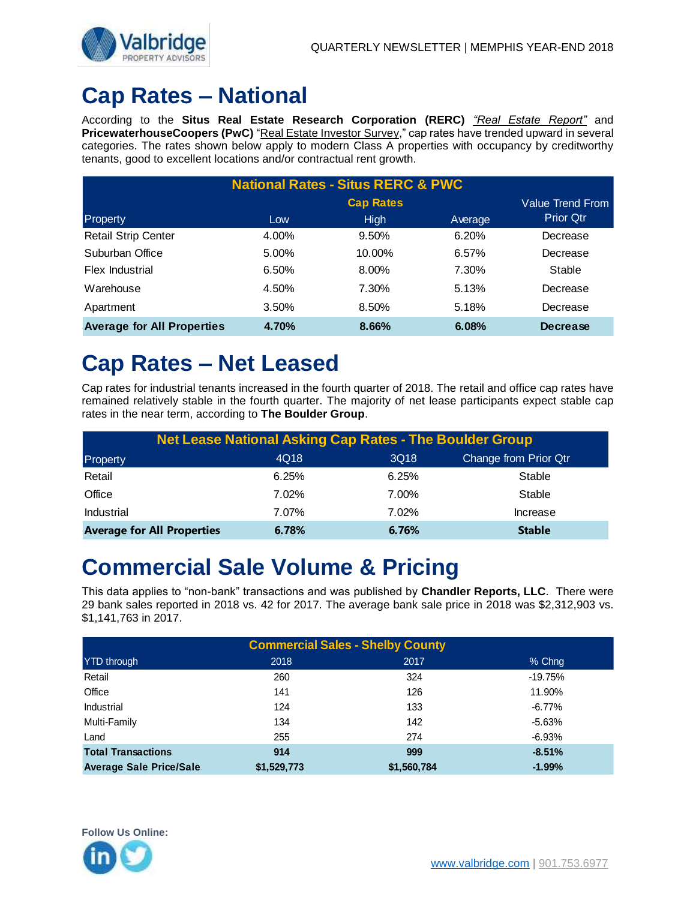

## **Cap Rates – National**

According to the **Situs Real Estate Research Corporation (RERC)** *"Real Estate Report"* and **PricewaterhouseCoopers (PwC)** "Real Estate Investor Survey," cap rates have trended upward in several categories. The rates shown below apply to modern Class A properties with occupancy by creditworthy tenants, good to excellent locations and/or contractual rent growth.

| <b>National Rates - Situs RERC &amp; PWC</b> |       |                  |         |                  |  |  |  |  |
|----------------------------------------------|-------|------------------|---------|------------------|--|--|--|--|
|                                              |       | <b>Cap Rates</b> |         | Value Trend From |  |  |  |  |
| Property                                     | Low   | <b>High</b>      | Average | <b>Prior Qtr</b> |  |  |  |  |
| <b>Retail Strip Center</b>                   | 4.00% | 9.50%            | 6.20%   | Decrease         |  |  |  |  |
| Suburban Office                              | 5.00% | 10.00%           | 6.57%   | Decrease         |  |  |  |  |
| Flex Industrial                              | 6.50% | 8.00%            | 7.30%   | Stable           |  |  |  |  |
| Warehouse                                    | 4.50% | 7.30%            | 5.13%   | Decrease         |  |  |  |  |
| Apartment                                    | 3.50% | 8.50%            | 5.18%   | Decrease         |  |  |  |  |
| <b>Average for All Properties</b>            | 4.70% | 8.66%            | 6.08%   | <b>Decrease</b>  |  |  |  |  |

## **Cap Rates – Net Leased**

Cap rates for industrial tenants increased in the fourth quarter of 2018. The retail and office cap rates have remained relatively stable in the fourth quarter. The majority of net lease participants expect stable cap rates in the near term, according to **The Boulder Group**.

| <b>Net Lease National Asking Cap Rates - The Boulder Group</b> |       |       |                       |  |  |  |  |
|----------------------------------------------------------------|-------|-------|-----------------------|--|--|--|--|
| Property                                                       | 4Q18  | 3Q18  | Change from Prior Qtr |  |  |  |  |
| Retail                                                         | 6.25% | 6.25% | Stable                |  |  |  |  |
| Office                                                         | 7.02% | 7.00% | Stable                |  |  |  |  |
| <b>Industrial</b>                                              | 7.07% | 7.02% | Increase              |  |  |  |  |
| <b>Average for All Properties</b>                              | 6.78% | 6.76% | <b>Stable</b>         |  |  |  |  |

### **Commercial Sale Volume & Pricing**

This data applies to "non-bank" transactions and was published by **Chandler Reports, LLC**. There were 29 bank sales reported in 2018 vs. 42 for 2017. The average bank sale price in 2018 was \$2,312,903 vs. \$1,141,763 in 2017.

| <b>Commercial Sales - Shelby County</b> |             |             |           |  |  |  |  |
|-----------------------------------------|-------------|-------------|-----------|--|--|--|--|
| YTD through                             | 2018        | 2017        | % Chng    |  |  |  |  |
| Retail                                  | 260         | 324         | $-19.75%$ |  |  |  |  |
| Office                                  | 141         | 126         | 11.90%    |  |  |  |  |
| Industrial                              | 124         | 133         | $-6.77%$  |  |  |  |  |
| Multi-Family                            | 134         | 142         | $-5.63%$  |  |  |  |  |
| Land                                    | 255         | 274         | $-6.93%$  |  |  |  |  |
| <b>Total Transactions</b>               | 914         | 999         | $-8.51%$  |  |  |  |  |
| <b>Average Sale Price/Sale</b>          | \$1,529,773 | \$1,560,784 | $-1.99%$  |  |  |  |  |

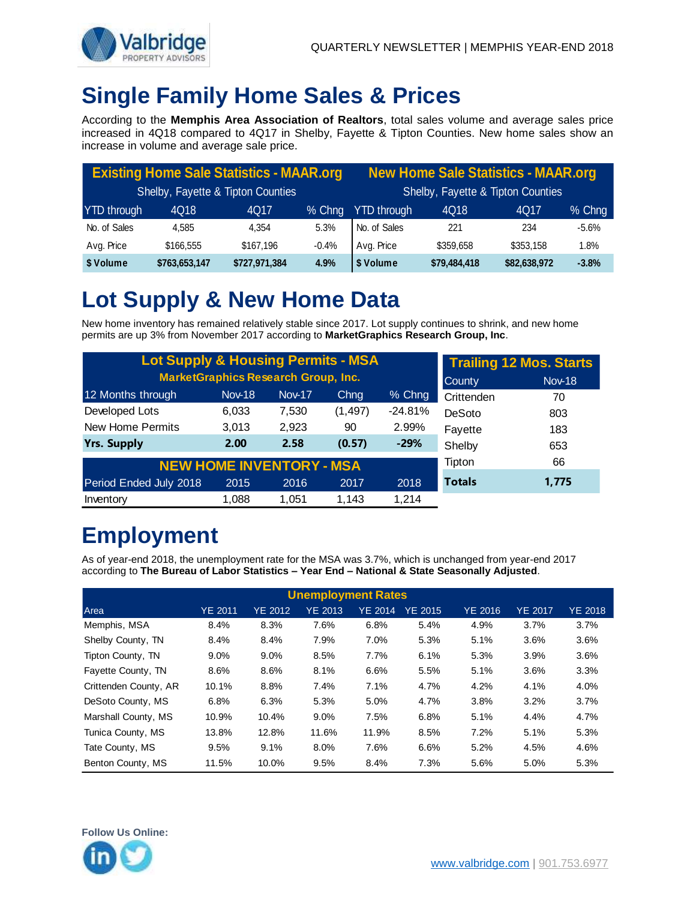

## **Single Family Home Sales & Prices**

According to the **Memphis Area Association of Realtors**, total sales volume and average sales price increased in 4Q18 compared to 4Q17 in Shelby, Fayette & Tipton Counties. New home sales show an increase in volume and average sale price.

| <b>Existing Home Sale Statistics - MAAR.org</b> |               |               |          | <b>New Home Sale Statistics - MAAR.org</b> |              |              |         |
|-------------------------------------------------|---------------|---------------|----------|--------------------------------------------|--------------|--------------|---------|
| Shelby, Fayette & Tipton Counties               |               |               |          | Shelby, Fayette & Tipton Counties          |              |              |         |
| YTD through                                     | 4Q18          | 4Q17          | $%$ Chng | <b>YTD through</b>                         | 4Q18         | 4Q17         | % Chng  |
| No. of Sales                                    | 4.585         | 4.354         | 5.3%     | No. of Sales                               | 221          | 234          | $-5.6%$ |
| Avg. Price                                      | \$166,555     | \$167.196     | $-0.4%$  | Avg. Price                                 | \$359,658    | \$353,158    | 1.8%    |
| \$ Volume                                       | \$763,653,147 | \$727,971,384 | 4.9%     | \$ Volume                                  | \$79,484,418 | \$82,638,972 | $-3.8%$ |

## **Lot Supply & New Home Data**

New home inventory has remained relatively stable since 2017. Lot supply continues to shrink, and new home permits are up 3% from November 2017 according to **MarketGraphics Research Group, Inc**.

| <b>Lot Supply &amp; Housing Permits - MSA</b> |               | <b>Trailing 12 Mos. Starts</b>  |          |           |               |       |
|-----------------------------------------------|---------------|---------------------------------|----------|-----------|---------------|-------|
| <b>MarketGraphics Research Group, Inc.</b>    | County        | <b>Nov-18</b>                   |          |           |               |       |
| 12 Months through                             | <b>Nov-18</b> | <b>Nov-17</b>                   | Chng     | % Chng    | Crittenden    | 70    |
| Developed Lots                                | 6,033         | 7,530                           | (1, 497) | $-24.81%$ | DeSoto        | 803   |
| New Home Permits                              | 3,013         | 2,923                           | 90       | 2.99%     | Fayette       | 183   |
| <b>Yrs. Supply</b>                            | 2.00          | 2.58                            | (0.57)   | $-29%$    | Shelby        | 653   |
|                                               |               | <b>NEW HOME INVENTORY - MSA</b> |          |           | Tipton        | 66    |
| Period Ended July 2018                        | 2015          | 2016                            | 2017     | 2018      | <b>Totals</b> | 1.775 |
| Inventory                                     | 1,088         | 1.051                           | 1.143    | 1.214     |               |       |

# **Employment**

As of year-end 2018, the unemployment rate for the MSA was 3.7%, which is unchanged from year-end 2017 according to **The Bureau of Labor Statistics – Year End – National & State Seasonally Adjusted**.

| <b>Unemployment Rates</b> |                |                |                |                |                |                |                |                |  |
|---------------------------|----------------|----------------|----------------|----------------|----------------|----------------|----------------|----------------|--|
| Area                      | <b>YE 2011</b> | <b>YE 2012</b> | <b>YE 2013</b> | <b>YE 2014</b> | <b>YE 2015</b> | <b>YE 2016</b> | <b>YE 2017</b> | <b>YE 2018</b> |  |
| Memphis, MSA              | 8.4%           | 8.3%           | 7.6%           | 6.8%           | 5.4%           | 4.9%           | 3.7%           | 3.7%           |  |
| Shelby County, TN         | 8.4%           | 8.4%           | 7.9%           | 7.0%           | 5.3%           | 5.1%           | 3.6%           | 3.6%           |  |
| Tipton County, TN         | $9.0\%$        | $9.0\%$        | 8.5%           | 7.7%           | 6.1%           | 5.3%           | 3.9%           | 3.6%           |  |
| Favette County, TN        | 8.6%           | 8.6%           | 8.1%           | 6.6%           | 5.5%           | 5.1%           | 3.6%           | 3.3%           |  |
| Crittenden County, AR     | 10.1%          | 8.8%           | 7.4%           | 7.1%           | 4.7%           | 4.2%           | 4.1%           | 4.0%           |  |
| DeSoto County, MS         | 6.8%           | 6.3%           | 5.3%           | 5.0%           | 4.7%           | 3.8%           | 3.2%           | 3.7%           |  |
| Marshall County, MS       | 10.9%          | 10.4%          | 9.0%           | 7.5%           | 6.8%           | 5.1%           | 4.4%           | 4.7%           |  |
| Tunica County, MS         | 13.8%          | 12.8%          | 11.6%          | 11.9%          | 8.5%           | 7.2%           | 5.1%           | 5.3%           |  |
| Tate County, MS           | 9.5%           | 9.1%           | 8.0%           | 7.6%           | 6.6%           | 5.2%           | 4.5%           | 4.6%           |  |
| Benton County, MS         | 11.5%          | 10.0%          | 9.5%           | 8.4%           | 7.3%           | 5.6%           | 5.0%           | 5.3%           |  |